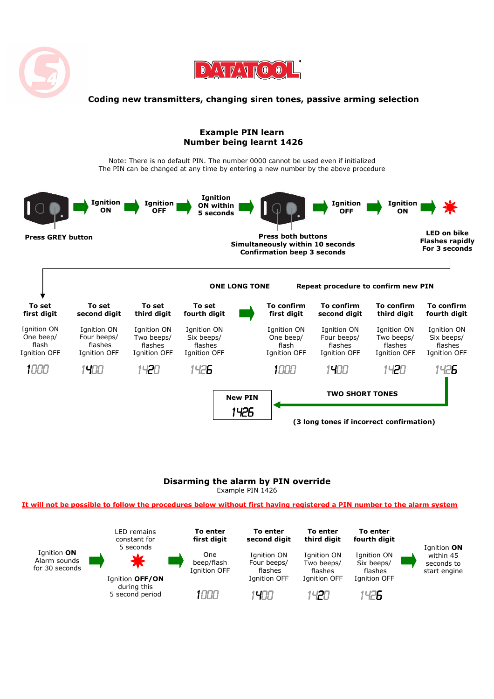



## Coding new transmitters, changing siren tones, passive arming selection

## Example PIN learn Number being learnt 1426

Note: There is no default PIN. The number 0000 cannot be used even if initialized The PIN can be changed at any time by entering a new number by the above procedure



## Disarming the alarm by PIN override Example PIN 1426

It will not be possible to follow the procedures below without first having registered a PIN number to the alarm system